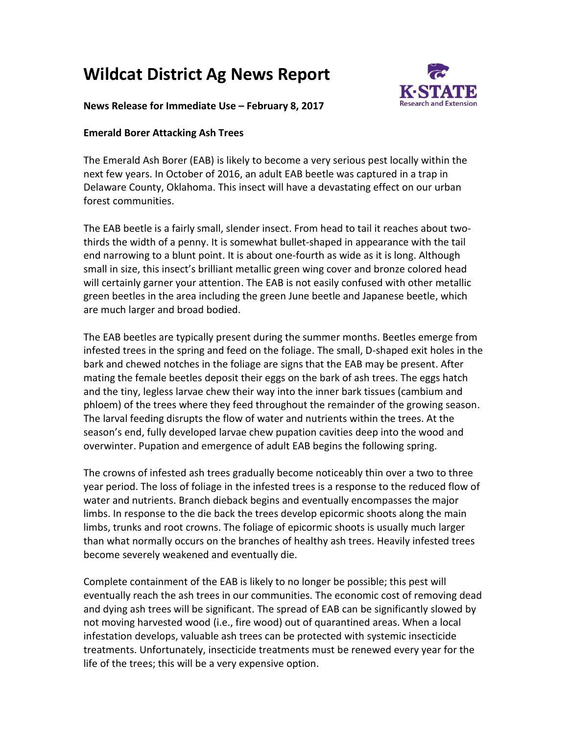## **Wildcat District Ag News Report**



**News Release for Immediate Use – February 8, 2017**

## **Emerald Borer Attacking Ash Trees**

The Emerald Ash Borer (EAB) is likely to become a very serious pest locally within the next few years. In October of 2016, an adult EAB beetle was captured in a trap in Delaware County, Oklahoma. This insect will have a devastating effect on our urban forest communities.

The EAB beetle is a fairly small, slender insect. From head to tail it reaches about twothirds the width of a penny. It is somewhat bullet-shaped in appearance with the tail end narrowing to a blunt point. It is about one-fourth as wide as it is long. Although small in size, this insect's brilliant metallic green wing cover and bronze colored head will certainly garner your attention. The EAB is not easily confused with other metallic green beetles in the area including the green June beetle and Japanese beetle, which are much larger and broad bodied.

The EAB beetles are typically present during the summer months. Beetles emerge from infested trees in the spring and feed on the foliage. The small, D-shaped exit holes in the bark and chewed notches in the foliage are signs that the EAB may be present. After mating the female beetles deposit their eggs on the bark of ash trees. The eggs hatch and the tiny, legless larvae chew their way into the inner bark tissues (cambium and phloem) of the trees where they feed throughout the remainder of the growing season. The larval feeding disrupts the flow of water and nutrients within the trees. At the season's end, fully developed larvae chew pupation cavities deep into the wood and overwinter. Pupation and emergence of adult EAB begins the following spring.

The crowns of infested ash trees gradually become noticeably thin over a two to three year period. The loss of foliage in the infested trees is a response to the reduced flow of water and nutrients. Branch dieback begins and eventually encompasses the major limbs. In response to the die back the trees develop epicormic shoots along the main limbs, trunks and root crowns. The foliage of epicormic shoots is usually much larger than what normally occurs on the branches of healthy ash trees. Heavily infested trees become severely weakened and eventually die.

Complete containment of the EAB is likely to no longer be possible; this pest will eventually reach the ash trees in our communities. The economic cost of removing dead and dying ash trees will be significant. The spread of EAB can be significantly slowed by not moving harvested wood (i.e., fire wood) out of quarantined areas. When a local infestation develops, valuable ash trees can be protected with systemic insecticide treatments. Unfortunately, insecticide treatments must be renewed every year for the life of the trees; this will be a very expensive option.